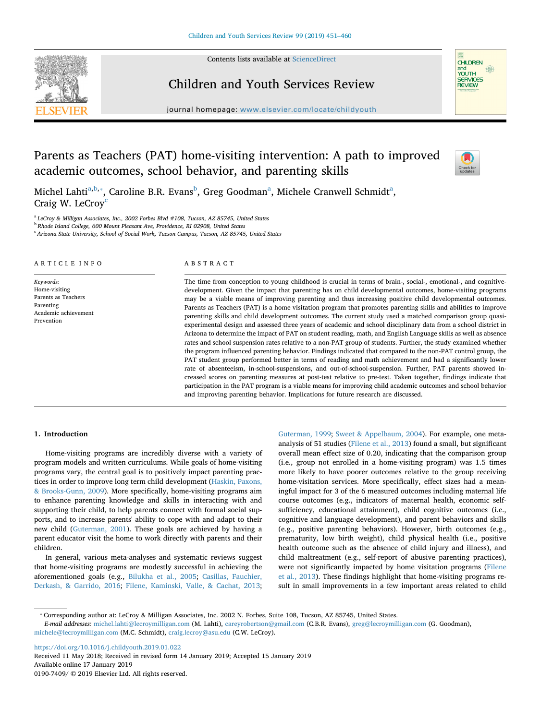Contents lists available at [ScienceDirect](http://www.sciencedirect.com/science/journal/01907409)



## Children and Youth Services Review

journal homepage: [www.elsevier.com/locate/childyouth](https://www.elsevier.com/locate/childyouth)

# Parents as Teachers (PAT) home-visiting intervention: A path to improved academic outcomes, school behavior, and parenting skills



**CHILDREN** and<br>and<br>YOUTH<br>SERVICES<br>REVIEW

 $\frac{1}{2}$ 

Michel Lahti<sup>[a,](#page-0-0)[b](#page-0-1),</sup>\*, C[a](#page-0-0)roline B.R. Evans<sup>b</sup>, Greg Goodman<sup>a</sup>, Michele Cranwell Schmidt<sup>a</sup>, Craig W. LeCroy<sup>[c](#page-0-3)</sup>

<span id="page-0-0"></span><sup>a</sup> *LeCroy & Milligan Associates, Inc., 2002 Forbes Blvd #108, Tucson, AZ 85745, United States*

<span id="page-0-1"></span><sup>b</sup> *Rhode Island College, 600 Mount Pleasant Ave, Providence, RI 02908, United States*

<span id="page-0-3"></span><sup>c</sup> *Arizona State University, School of Social Work, Tucson Campus, Tucson, AZ 85745, United States*

#### ARTICLE INFO

*Keywords:* Home-visiting Parents as Teachers Parenting Academic achievement Prevention

#### ABSTRACT

The time from conception to young childhood is crucial in terms of brain-, social-, emotional-, and cognitivedevelopment. Given the impact that parenting has on child developmental outcomes, home-visiting programs may be a viable means of improving parenting and thus increasing positive child developmental outcomes. Parents as Teachers (PAT) is a home visitation program that promotes parenting skills and abilities to improve parenting skills and child development outcomes. The current study used a matched comparison group quasiexperimental design and assessed three years of academic and school disciplinary data from a school district in Arizona to determine the impact of PAT on student reading, math, and English Language skills as well as absence rates and school suspension rates relative to a non-PAT group of students. Further, the study examined whether the program influenced parenting behavior. Findings indicated that compared to the non-PAT control group, the PAT student group performed better in terms of reading and math achievement and had a significantly lower rate of absenteeism, in-school-suspensions, and out-of-school-suspension. Further, PAT parents showed increased scores on parenting measures at post-test relative to pre-test. Taken together, findings indicate that participation in the PAT program is a viable means for improving child academic outcomes and school behavior and improving parenting behavior. Implications for future research are discussed.

## **1. Introduction**

Home-visiting programs are incredibly diverse with a variety of program models and written curriculums. While goals of home-visiting programs vary, the central goal is to positively impact parenting practices in order to improve long term child development ([Haskin, Paxons,](#page-9-0) [& Brooks-Gunn, 2009\)](#page-9-0). More specifically, home-visiting programs aim to enhance parenting knowledge and skills in interacting with and supporting their child, to help parents connect with formal social supports, and to increase parents' ability to cope with and adapt to their new child [\(Guterman, 2001\)](#page-9-1). These goals are achieved by having a parent educator visit the home to work directly with parents and their children.

In general, various meta-analyses and systematic reviews suggest that home-visiting programs are modestly successful in achieving the aforementioned goals (e.g., [Bilukha et al., 2005](#page-8-0); [Casillas, Fauchier,](#page-8-1) [Derkash, & Garrido, 2016;](#page-8-1) [Filene, Kaminski, Valle, & Cachat, 2013](#page-8-2);

[Guterman, 1999;](#page-9-2) [Sweet & Appelbaum, 2004](#page-9-3)). For example, one metaanalysis of 51 studies ([Filene et al., 2013\)](#page-8-2) found a small, but significant overall mean effect size of 0.20, indicating that the comparison group (i.e., group not enrolled in a home-visiting program) was 1.5 times more likely to have poorer outcomes relative to the group receiving home-visitation services. More specifically, effect sizes had a meaningful impact for 3 of the 6 measured outcomes including maternal life course outcomes (e.g., indicators of maternal health, economic selfsufficiency, educational attainment), child cognitive outcomes (i.e., cognitive and language development), and parent behaviors and skills (e.g., positive parenting behaviors). However, birth outcomes (e.g., prematurity, low birth weight), child physical health (i.e., positive health outcome such as the absence of child injury and illness), and child maltreatment (e.g., self-report of abusive parenting practices), were not significantly impacted by home visitation programs [\(Filene](#page-8-2) [et al., 2013\)](#page-8-2). These findings highlight that home-visiting programs result in small improvements in a few important areas related to child

*E-mail addresses:* [michel.lahti@lecroymilligan.com](mailto:michel.lahti@lecroymilligan.com) (M. Lahti), [careyrobertson@gmail.com](mailto:careyrobertson@gmail.com) (C.B.R. Evans), [greg@lecroymilligan.com](mailto:greg@lecroymilligan.com) (G. Goodman), [michele@lecroymilligan.com](mailto:michele@lecroymilligan.com) (M.C. Schmidt), [craig.lecroy@asu.edu](mailto:craig.lecroy@asu.edu) (C.W. LeCroy).

<https://doi.org/10.1016/j.childyouth.2019.01.022>

Received 11 May 2018; Received in revised form 14 January 2019; Accepted 15 January 2019 Available online 17 January 2019 0190-7409/ © 2019 Elsevier Ltd. All rights reserved.

<span id="page-0-2"></span><sup>⁎</sup> Corresponding author at: LeCroy & Milligan Associates, Inc. 2002 N. Forbes, Suite 108, Tucson, AZ 85745, United States.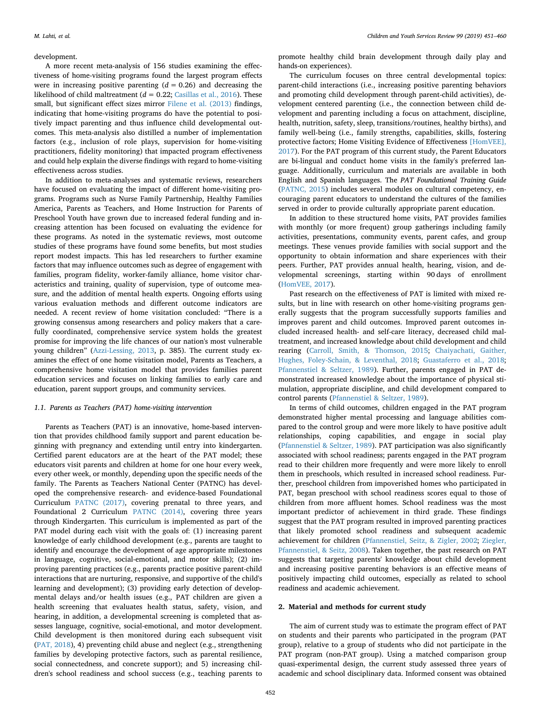#### development.

A more recent meta-analysis of 156 studies examining the effectiveness of home-visiting programs found the largest program effects were in increasing positive parenting  $(d = 0.26)$  and decreasing the likelihood of child maltreatment (*d* = 0.22; [Casillas et al., 2016\)](#page-8-1). These small, but significant effect sizes mirror [Filene et al. \(2013\)](#page-8-2) findings, indicating that home-visiting programs do have the potential to positively impact parenting and thus influence child developmental outcomes. This meta-analysis also distilled a number of implementation factors (e.g., inclusion of role plays, supervision for home-visiting practitioners, fidelity monitoring) that impacted program effectiveness and could help explain the diverse findings with regard to home-visiting effectiveness across studies.

In addition to meta-analyses and systematic reviews, researchers have focused on evaluating the impact of different home-visiting programs. Programs such as Nurse Family Partnership, Healthy Families America, Parents as Teachers, and Home Instruction for Parents of Preschool Youth have grown due to increased federal funding and increasing attention has been focused on evaluating the evidence for these programs. As noted in the systematic reviews, most outcome studies of these programs have found some benefits, but most studies report modest impacts. This has led researchers to further examine factors that may influence outcomes such as degree of engagement with families, program fidelity, worker-family alliance, home visitor characteristics and training, quality of supervision, type of outcome measure, and the addition of mental health experts. Ongoing efforts using various evaluation methods and different outcome indicators are needed. A recent review of home visitation concluded: "There is a growing consensus among researchers and policy makers that a carefully coordinated, comprehensive service system holds the greatest promise for improving the life chances of our nation's most vulnerable young children" ([Azzi-Lessing, 2013,](#page-8-3) p. 385). The current study examines the effect of one home visitation model, Parents as Teachers, a comprehensive home visitation model that provides families parent education services and focuses on linking families to early care and education, parent support groups, and community services.

#### *1.1. Parents as Teachers (PAT) home-visiting intervention*

Parents as Teachers (PAT) is an innovative, home-based intervention that provides childhood family support and parent education beginning with pregnancy and extending until entry into kindergarten. Certified parent educators are at the heart of the PAT model; these educators visit parents and children at home for one hour every week, every other week, or monthly, depending upon the specific needs of the family. The Parents as Teachers National Center (PATNC) has developed the comprehensive research- and evidence-based Foundational Curriculum [PATNC \(2017\)](#page-9-4), covering prenatal to three years, and Foundational 2 Curriculum [PATNC \(2014\),](#page-9-5) covering three years through Kindergarten. This curriculum is implemented as part of the PAT model during each visit with the goals of: (1) increasing parent knowledge of early childhood development (e.g., parents are taught to identify and encourage the development of age appropriate milestones in language, cognitive, social-emotional, and motor skills); (2) improving parenting practices (e.g., parents practice positive parent-child interactions that are nurturing, responsive, and supportive of the child's learning and development); (3) providing early detection of developmental delays and/or health issues (e.g., PAT children are given a health screening that evaluates health status, safety, vision, and hearing, in addition, a developmental screening is completed that assesses language, cognitive, social-emotional, and motor development. Child development is then monitored during each subsequent visit ([PAT, 2018\)](#page-9-6), 4) preventing child abuse and neglect (e.g., strengthening families by developing protective factors, such as parental resilience, social connectedness, and concrete support); and 5) increasing children's school readiness and school success (e.g., teaching parents to

promote healthy child brain development through daily play and hands-on experiences).

The curriculum focuses on three central developmental topics: parent-child interactions (i.e., increasing positive parenting behaviors and promoting child development through parent-child activities), development centered parenting (i.e., the connection between child development and parenting including a focus on attachment, discipline, health, nutrition, safety, sleep, transitions/routines, healthy births), and family well-being (i.e., family strengths, capabilities, skills, fostering protective factors; Home Visiting Evidence of Effectiveness [\[HomVEE\],](#page-9-7) [2017\)](#page-9-7). For the PAT program of this current study, the Parent Educators are bi-lingual and conduct home visits in the family's preferred language. Additionally, curriculum and materials are available in both English and Spanish languages. The *PAT Foundational Training Guide* ([PATNC, 2015](#page-9-8)) includes several modules on cultural competency, encouraging parent educators to understand the cultures of the families served in order to provide culturally appropriate parent education.

In addition to these structured home visits, PAT provides families with monthly (or more frequent) group gatherings including family activities, presentations, community events, parent cafes, and group meetings. These venues provide families with social support and the opportunity to obtain information and share experiences with their peers. Further, PAT provides annual health, hearing, vision, and developmental screenings, starting within 90 days of enrollment ([HomVEE, 2017](#page-9-7)).

Past research on the effectiveness of PAT is limited with mixed results, but in line with research on other home-visiting programs generally suggests that the program successfully supports families and improves parent and child outcomes. Improved parent outcomes included increased health- and self-care literacy, decreased child maltreatment, and increased knowledge about child development and child rearing ([Carroll, Smith, & Thomson, 2015](#page-8-4); [Chaiyachati, Gaither,](#page-8-5) [Hughes, Foley-Schain, & Leventhal, 2018;](#page-8-5) [Guastaferro et al., 2018](#page-8-6); [Pfannenstiel & Seltzer, 1989\)](#page-9-9). Further, parents engaged in PAT demonstrated increased knowledge about the importance of physical stimulation, appropriate discipline, and child development compared to control parents ([Pfannenstiel & Seltzer, 1989\)](#page-9-9).

In terms of child outcomes, children engaged in the PAT program demonstrated higher mental processing and language abilities compared to the control group and were more likely to have positive adult relationships, coping capabilities, and engage in social play ([Pfannenstiel & Seltzer, 1989\)](#page-9-9). PAT participation was also significantly associated with school readiness; parents engaged in the PAT program read to their children more frequently and were more likely to enroll them in preschools, which resulted in increased school readiness. Further, preschool children from impoverished homes who participated in PAT, began preschool with school readiness scores equal to those of children from more affluent homes. School readiness was the most important predictor of achievement in third grade. These findings suggest that the PAT program resulted in improved parenting practices that likely promoted school readiness and subsequent academic achievement for children ([Pfannenstiel, Seitz, & Zigler, 2002;](#page-9-10) [Ziegler,](#page-9-11) [Pfannenstiel, & Seitz, 2008](#page-9-11)). Taken together, the past research on PAT suggests that targeting parents' knowledge about child development and increasing positive parenting behaviors is an effective means of positively impacting child outcomes, especially as related to school readiness and academic achievement.

## **2. Material and methods for current study**

The aim of current study was to estimate the program effect of PAT on students and their parents who participated in the program (PAT group), relative to a group of students who did not participate in the PAT program (non-PAT group). Using a matched comparison group quasi-experimental design, the current study assessed three years of academic and school disciplinary data. Informed consent was obtained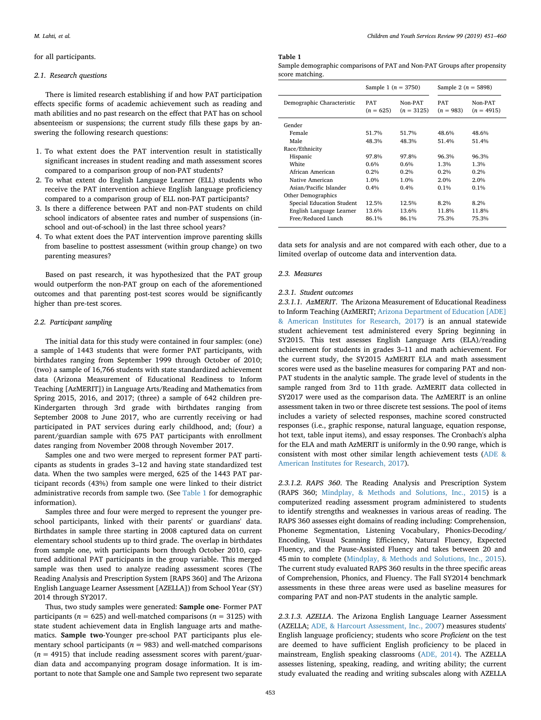#### for all participants.

#### *2.1. Research questions*

There is limited research establishing if and how PAT participation effects specific forms of academic achievement such as reading and math abilities and no past research on the effect that PAT has on school absenteeism or suspensions; the current study fills these gaps by answering the following research questions:

- 1. To what extent does the PAT intervention result in statistically significant increases in student reading and math assessment scores compared to a comparison group of non-PAT students?
- 2. To what extent do English Language Learner (ELL) students who receive the PAT intervention achieve English language proficiency compared to a comparison group of ELL non-PAT participants?
- 3. Is there a difference between PAT and non-PAT students on child school indicators of absentee rates and number of suspensions (inschool and out-of-school) in the last three school years?
- 4. To what extent does the PAT intervention improve parenting skills from baseline to posttest assessment (within group change) on two parenting measures?

Based on past research, it was hypothesized that the PAT group would outperform the non-PAT group on each of the aforementioned outcomes and that parenting post-test scores would be significantly higher than pre-test scores.

## *2.2. Participant sampling*

The initial data for this study were contained in four samples: (one) a sample of 1443 students that were former PAT participants, with birthdates ranging from September 1999 through October of 2010; (two) a sample of 16,766 students with state standardized achievement data (Arizona Measurement of Educational Readiness to Inform Teaching [AzMERIT]) in Language Arts/Reading and Mathematics from Spring 2015, 2016, and 2017; (three) a sample of 642 children pre-Kindergarten through 3rd grade with birthdates ranging from September 2008 to June 2017, who are currently receiving or had participated in PAT services during early childhood, and; (four) a parent/guardian sample with 675 PAT participants with enrollment dates ranging from November 2008 through November 2017.

Samples one and two were merged to represent former PAT participants as students in grades 3–12 and having state standardized test data. When the two samples were merged, 625 of the 1443 PAT participant records (43%) from sample one were linked to their district administrative records from sample two. (See [Table 1](#page-2-0) for demographic information).

Samples three and four were merged to represent the younger preschool participants, linked with their parents' or guardians' data. Birthdates in sample three starting in 2008 captured data on current elementary school students up to third grade. The overlap in birthdates from sample one, with participants born through October 2010, captured additional PAT participants in the group variable. This merged sample was then used to analyze reading assessment scores (The Reading Analysis and Prescription System [RAPS 360] and The Arizona English Language Learner Assessment [AZELLA]) from School Year (SY) 2014 through SY2017.

Thus, two study samples were generated: **Sample one**- Former PAT participants ( $n = 625$ ) and well-matched comparisons ( $n = 3125$ ) with state student achievement data in English language arts and mathematics. **Sample two**-Younger pre-school PAT participants plus elementary school participants ( $n = 983$ ) and well-matched comparisons  $(n = 4915)$  that include reading assessment scores with parent/guardian data and accompanying program dosage information. It is important to note that Sample one and Sample two represent two separate

453

## <span id="page-2-0"></span>**Table 1**

| Sample demographic comparisons of PAT and Non-PAT Groups after propensity |  |
|---------------------------------------------------------------------------|--|
| score matching.                                                           |  |

|                            | Sample 1 $(n = 3750)$     |                         | Sample 2 ( $n = 5898$ )   |                         |
|----------------------------|---------------------------|-------------------------|---------------------------|-------------------------|
| Demographic Characteristic | <b>PAT</b><br>$(n = 625)$ | Non-PAT<br>$(n = 3125)$ | <b>PAT</b><br>$(n = 983)$ | Non-PAT<br>$(n = 4915)$ |
| Gender                     |                           |                         |                           |                         |
| Female                     | 51.7%                     | 51.7%                   | 48.6%                     | 48.6%                   |
| Male                       | 48.3%                     | 48.3%                   | 51.4%                     | 51.4%                   |
| Race/Ethnicity             |                           |                         |                           |                         |
| Hispanic                   | 97.8%                     | 97.8%                   | 96.3%                     | 96.3%                   |
| White                      | 0.6%                      | 0.6%                    | 1.3%                      | 1.3%                    |
| African American           | 0.2%                      | 0.2%                    | $0.2\%$                   | $0.2\%$                 |
| Native American            | 1.0%                      | 1.0%                    | 2.0%                      | 2.0%                    |
| Asian/Pacific Islander     | 0.4%                      | 0.4%                    | $0.1\%$                   | $0.1\%$                 |
| Other Demographics         |                           |                         |                           |                         |
| Special Education Student  | 12.5%                     | 12.5%                   | 8.2%                      | 8.2%                    |
| English Language Learner   | 13.6%                     | 13.6%                   | 11.8%                     | 11.8%                   |
| Free/Reduced Lunch         | 86.1%                     | 86.1%                   | 75.3%                     | 75.3%                   |

data sets for analysis and are not compared with each other, due to a limited overlap of outcome data and intervention data.

#### *2.3. Measures*

## *2.3.1. Student outcomes*

*2.3.1.1. AzMERIT*. The Arizona Measurement of Educational Readiness to Inform Teaching (AzMERIT; [Arizona Department of Education \[ADE\]](#page-8-7) [& American Institutes for Research, 2017\)](#page-8-7) is an annual statewide student achievement test administered every Spring beginning in SY2015. This test assesses English Language Arts (ELA)/reading achievement for students in grades 3–11 and math achievement. For the current study, the SY2015 AzMERIT ELA and math assessment scores were used as the baseline measures for comparing PAT and non-PAT students in the analytic sample. The grade level of students in the sample ranged from 3rd to 11th grade. AzMERIT data collected in SY2017 were used as the comparison data. The AzMERIT is an online assessment taken in two or three discrete test sessions. The pool of items includes a variety of selected responses, machine scored constructed responses (i.e., graphic response, natural language, equation response, hot text, table input items), and essay responses. The Cronbach's alpha for the ELA and math AzMERIT is uniformly in the 0.90 range, which is consistent with most other similar length achievement tests ([ADE &](#page-8-7) [American Institutes for Research, 2017](#page-8-7)).

*2.3.1.2. RAPS 360*. The Reading Analysis and Prescription System (RAPS 360; [Mindplay, & Methods and Solutions, Inc., 2015](#page-9-12)) is a computerized reading assessment program administered to students to identify strengths and weaknesses in various areas of reading. The RAPS 360 assesses eight domains of reading including: Comprehension, Phoneme Segmentation, Listening Vocabulary, Phonics-Decoding/ Encoding, Visual Scanning Efficiency, Natural Fluency, Expected Fluency, and the Pause-Assisted Fluency and takes between 20 and 45 min to complete ([Mindplay, & Methods and Solutions, Inc., 2015](#page-9-12)). The current study evaluated RAPS 360 results in the three specific areas of Comprehension, Phonics, and Fluency. The Fall SY2014 benchmark assessments in these three areas were used as baseline measures for comparing PAT and non-PAT students in the analytic sample.

*2.3.1.3. AZELLA*. The Arizona English Language Learner Assessment (AZELLA; [ADE, & Harcourt Assessment, Inc., 2007](#page-8-8)) measures students' English language proficiency; students who score *Proficient* on the test are deemed to have sufficient English proficiency to be placed in mainstream, English speaking classrooms ([ADE, 2014](#page-8-9)). The AZELLA assesses listening, speaking, reading, and writing ability; the current study evaluated the reading and writing subscales along with AZELLA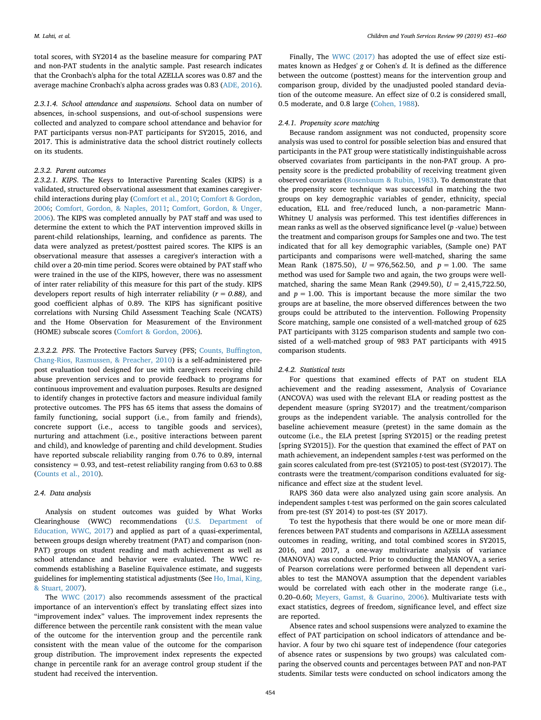total scores, with SY2014 as the baseline measure for comparing PAT and non-PAT students in the analytic sample. Past research indicates that the Cronbach's alpha for the total AZELLA scores was 0.87 and the average machine Cronbach's alpha across grades was 0.83 ([ADE, 2016](#page-8-10)).

*2.3.1.4. School attendance and suspensions*. School data on number of absences, in-school suspensions, and out-of-school suspensions were collected and analyzed to compare school attendance and behavior for PAT participants versus non-PAT participants for SY2015, 2016, and 2017. This is administrative data the school district routinely collects on its students.

#### *2.3.2. Parent outcomes*

*2.3.2.1. KIPS*. The Keys to Interactive Parenting Scales (KIPS) is a validated, structured observational assessment that examines caregiverchild interactions during play [\(Comfort et al., 2010](#page-8-11); [Comfort & Gordon,](#page-8-12) [2006;](#page-8-12) [Comfort, Gordon, & Naples, 2011;](#page-8-13) [Comfort, Gordon, & Unger,](#page-8-14) [2006\)](#page-8-14). The KIPS was completed annually by PAT staff and was used to determine the extent to which the PAT intervention improved skills in parent-child relationships, learning, and confidence as parents. The data were analyzed as pretest/posttest paired scores. The KIPS is an observational measure that assesses a caregiver's interaction with a child over a 20-min time period. Scores were obtained by PAT staff who were trained in the use of the KIPS, however, there was no assessment of inter rater reliability of this measure for this part of the study. KIPS developers report results of high interrater reliability (*r = 0.88),* and good coefficient alphas of 0.89. The KIPS has significant positive correlations with Nursing Child Assessment Teaching Scale (NCATS) and the Home Observation for Measurement of the Environment (HOME) subscale scores ([Comfort & Gordon, 2006\)](#page-8-12).

*2.3.2.2. PFS*. The Protective Factors Survey (PFS; [Counts, Buffington,](#page-8-15) [Chang-Rios, Rasmussen, & Preacher, 2010](#page-8-15)) is a self-administered prepost evaluation tool designed for use with caregivers receiving child abuse prevention services and to provide feedback to programs for continuous improvement and evaluation purposes. Results are designed to identify changes in protective factors and measure individual family protective outcomes. The PFS has 65 items that assess the domains of family functioning, social support (i.e., from family and friends), concrete support (i.e., access to tangible goods and services), nurturing and attachment (i.e., positive interactions between parent and child), and knowledge of parenting and child development. Studies have reported subscale reliability ranging from 0.76 to 0.89, internal consistency = 0.93, and test–retest reliability ranging from 0.63 to 0.88 ([Counts et al., 2010](#page-8-15)).

#### *2.4. Data analysis*

Analysis on student outcomes was guided by What Works Clearinghouse (WWC) recommendations [\(U.S. Department of](#page-9-13) [Education, WWC, 2017\)](#page-9-13) and applied as part of a quasi-experimental, between groups design whereby treatment (PAT) and comparison (non-PAT) groups on student reading and math achievement as well as school attendance and behavior were evaluated. The WWC recommends establishing a Baseline Equivalence estimate, and suggests guidelines for implementing statistical adjustments (See [Ho, Imai, King,](#page-9-14) [& Stuart, 2007\)](#page-9-14).

The [WWC \(2017\)](#page-9-13) also recommends assessment of the practical importance of an intervention's effect by translating effect sizes into "improvement index" values. The improvement index represents the difference between the percentile rank consistent with the mean value of the outcome for the intervention group and the percentile rank consistent with the mean value of the outcome for the comparison group distribution. The improvement index represents the expected change in percentile rank for an average control group student if the student had received the intervention.

Finally, The [WWC \(2017\)](#page-9-13) has adopted the use of effect size estimates known as Hedges' *g* or Cohen's *d*. It is defined as the difference between the outcome (posttest) means for the intervention group and comparison group, divided by the unadjusted pooled standard deviation of the outcome measure. An effect size of 0.2 is considered small, 0.5 moderate, and 0.8 large ([Cohen, 1988\)](#page-8-16).

## *2.4.1. Propensity score matching*

Because random assignment was not conducted, propensity score analysis was used to control for possible selection bias and ensured that participants in the PAT group were statistically indistinguishable across observed covariates from participants in the non-PAT group. A propensity score is the predicted probability of receiving treatment given observed covariates [\(Rosenbaum & Rubin, 1983\)](#page-9-15). To demonstrate that the propensity score technique was successful in matching the two groups on key demographic variables of gender, ethnicity, special education, ELL and free/reduced lunch, a non-parametric Mann-Whitney U analysis was performed. This test identifies differences in mean ranks as well as the observed significance level (*p* -value) between the treatment and comparison groups for Samples one and two. The test indicated that for all key demographic variables, (Sample one) PAT participants and comparisons were well-matched, sharing the same Mean Rank (1875.50), *U* = 976,562.50, and *p* = 1.00. The same method was used for Sample two and again, the two groups were wellmatched, sharing the same Mean Rank (2949.50), *U* = 2,415,722.50, and  $p = 1.00$ . This is important because the more similar the two groups are at baseline, the more observed differences between the two groups could be attributed to the intervention. Following Propensity Score matching, sample one consisted of a well-matched group of 625 PAT participants with 3125 comparison students and sample two consisted of a well-matched group of 983 PAT participants with 4915 comparison students.

## *2.4.2. Statistical tests*

For questions that examined effects of PAT on student ELA achievement and the reading assessment, Analysis of Covariance (ANCOVA) was used with the relevant ELA or reading posttest as the dependent measure (spring SY2017) and the treatment/comparison groups as the independent variable. The analysis controlled for the baseline achievement measure (pretest) in the same domain as the outcome (i.e., the ELA pretest [spring SY2015] or the reading pretest [spring SY2015]). For the question that examined the effect of PAT on math achievement, an independent samples *t*-test was performed on the gain scores calculated from pre-test (SY2105) to post-test (SY2017). The contrasts were the treatment/comparison conditions evaluated for significance and effect size at the student level.

RAPS 360 data were also analyzed using gain score analysis. An independent samples t-test was performed on the gain scores calculated from pre-test (SY 2014) to post-tes (SY 2017).

To test the hypothesis that there would be one or more mean differences between PAT students and comparisons in AZELLA assessment outcomes in reading, writing, and total combined scores in SY2015, 2016, and 2017, a one-way multivariate analysis of variance (MANOVA) was conducted. Prior to conducting the MANOVA, a series of Pearson correlations were performed between all dependent variables to test the MANOVA assumption that the dependent variables would be correlated with each other in the moderate range (i.e., 0.20–0.60; [Meyers, Gamst, & Guarino, 2006](#page-9-16)). Multivariate tests with exact statistics, degrees of freedom, significance level, and effect size are reported.

Absence rates and school suspensions were analyzed to examine the effect of PAT participation on school indicators of attendance and behavior. A four by two chi square test of independence (four categories of absence rates or suspensions by two groups) was calculated comparing the observed counts and percentages between PAT and non-PAT students. Similar tests were conducted on school indicators among the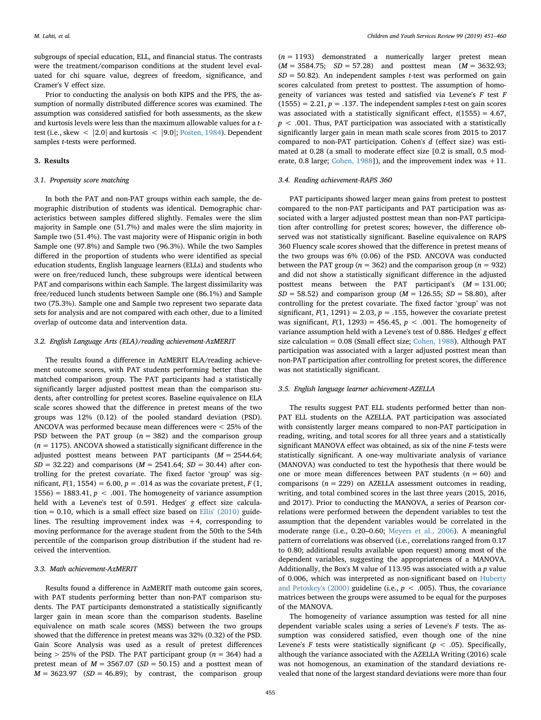subgroups of special education, ELL, and financial status. The contrasts were the treatment/comparison conditions at the student level evaluated for chi square value, degrees of freedom, significance, and Cramer's V effect size.

Prior to conducting the analysis on both KIPS and the PFS, the assumption of normally distributed difference scores was examined. The assumption was considered satisfied for both assessments, as the skew and kurtosis levels were less than the maximum allowable values for a *t*test (i.e., skew < |2.0| and kurtosis < |9.0|; [Posten, 1984\)](#page-9-17). Dependent samples *t*-tests were performed.

#### **3. Results**

## *3.1. Propensity score matching*

In both the PAT and non-PAT groups within each sample, the demographic distribution of students was identical. Demographic characteristics between samples differed slightly. Females were the slim majority in Sample one (51.7%) and males were the slim majority in Sample two (51.4%). The vast majority were of Hispanic origin in both Sample one (97.8%) and Sample two (96.3%). While the two Samples differed in the proportion of students who were identified as special education students, English language learners (ELLs) and students who were on free/reduced lunch, these subgroups were identical between PAT and comparisons within each Sample. The largest dissimilarity was free/reduced lunch students between Sample one (86.1%) and Sample two (75.3%). Sample one and Sample two represent two separate data sets for analysis and are not compared with each other, due to a limited overlap of outcome data and intervention data.

#### *3.2. English Language Arts (ELA)/reading achievement-AzMERIT*

The results found a difference in AzMERIT ELA/reading achievement outcome scores, with PAT students performing better than the matched comparison group. The PAT participants had a statistically significantly larger adjusted posttest mean than the comparison students, after controlling for pretest scores. Baseline equivalence on ELA scale scores showed that the difference in pretest means of the two groups was 12% (0.12) of the pooled standard deviation (PSD). ANCOVA was performed because mean differences were < 25% of the PSD between the PAT group  $(n = 382)$  and the comparison group  $(n = 1175)$ . ANCOVA showed a statistically significant difference in the adjusted posttest means between PAT participants (*M* = 2544.64; *SD* = 32.22) and comparisons (*M* = 2541.64; *SD* = 30.44) after controlling for the pretest covariate. The fixed factor 'group' was significant,  $F(1, 1554) = 6.00$ ,  $p = .014$  as was the covariate pretest,  $F(1, 1554) = 6.00$ ,  $p = .014$  as was the covariate pretest,  $F(1, 1554) = 6.00$ 1556) = 1883.41,  $p < .001$ . The homogeneity of variance assumption held with a Levene's test of 0.591. Hedges' *g* effect size calcula-tion = 0.10, which is a small effect size based on [Ellis' \(2010\)](#page-8-17) guidelines. The resulting improvement index was +4, corresponding to moving performance for the average student from the 50th to the 54th percentile of the comparison group distribution if the student had received the intervention.

## *3.3. Math achievement-AzMERIT*

Results found a difference in AzMERIT math outcome gain scores, with PAT students performing better than non-PAT comparison students. The PAT participants demonstrated a statistically significantly larger gain in mean score than the comparison students. Baseline equivalence on math scale scores (MSS) between the two groups showed that the difference in pretest means was 32% (0.32) of the PSD. Gain Score Analysis was used as a result of pretest differences being  $> 25\%$  of the PSD. The PAT participant group ( $n = 364$ ) had a pretest mean of  $M = 3567.07$  ( $SD = 50.15$ ) and a posttest mean of  $M = 3623.97$  (*SD* = 46.89); by contrast, the comparison group

(*n* = 1193) demonstrated a numerically larger pretest mean (*M* = 3584.75; *SD* = 57.28) and posttest mean (*M* = 3632.93; *SD* = 50.82). An independent samples *t*-test was performed on gain scores calculated from pretest to posttest. The assumption of homogeneity of variances was tested and satisfied via Levene's *F* test *F*  $(1555) = 2.21, p = .137$ . The independent samples *t*-test on gain scores was associated with a statistically significant effect, *t*(1555) = 4.67, *p* < .001. Thus, PAT participation was associated with a statistically significantly larger gain in mean math scale scores from 2015 to 2017 compared to non-PAT participation. Cohen's *d* (effect size) was estimated at 0.28 (a small to moderate effect size [0.2 is small, 0.5 mod-erate, 0.8 large; [Cohen, 1988](#page-8-16)]), and the improvement index was  $+11$ .

#### *3.4. Reading achievement-RAPS 360*

PAT participants showed larger mean gains from pretest to posttest compared to the non-PAT participants and PAT participation was associated with a larger adjusted posttest mean than non-PAT participation after controlling for pretest scores; however, the difference observed was not statistically significant. Baseline equivalence on RAPS 360 Fluency scale scores showed that the difference in pretest means of the two groups was 6% (0.06) of the PSD. ANCOVA was conducted between the PAT group ( $n = 362$ ) and the comparison group ( $n = 932$ ) and did not show a statistically significant difference in the adjusted posttest means between the PAT participant's (*M* = 131.00;  $SD = 58.52$ ) and comparison group ( $M = 126.55$ ;  $SD = 58.80$ ), after controlling for the pretest covariate. The fixed factor 'group' was not significant,  $F(1, 1291) = 2.03$ ,  $p = .155$ , however the covariate pretest was significant,  $F(1, 1293) = 456.45$ ,  $p < .001$ . The homogeneity of variance assumption held with a Levene's test of 0.886. Hedges' *g* effect size calculation = 0.08 (Small effect size; [Cohen, 1988](#page-8-16)). Although PAT participation was associated with a larger adjusted posttest mean than non-PAT participation after controlling for pretest scores, the difference was not statistically significant.

## *3.5. English language learner achievement-AZELLA*

The results suggest PAT ELL students performed better than non-PAT ELL students on the AZELLA. PAT participation was associated with consistently larger means compared to non-PAT participation in reading, writing, and total scores for all three years and a statistically significant MANOVA effect was obtained, as six of the nine *F*-tests were statistically significant. A one-way multivariate analysis of variance (MANOVA) was conducted to test the hypothesis that there would be one or more mean differences between PAT students  $(n = 60)$  and comparisons  $(n = 229)$  on AZELLA assessment outcomes in reading, writing, and total combined scores in the last three years (2015, 2016, and 2017). Prior to conducting the MANOVA, a series of Pearson correlations were performed between the dependent variables to test the assumption that the dependent variables would be correlated in the moderate range (i.e., 0.20–0.60; [Meyers et al., 2006\)](#page-9-16). A meaningful pattern of correlations was observed (i.e., correlations ranged from 0.17 to 0.80; additional results available upon request) among most of the dependent variables, suggesting the appropriateness of a MANOVA. Additionally, the Box's M value of 113.95 was associated with a *p* value of 0.006, which was interpreted as non-significant based on [Huberty](#page-9-18) and Petoskey's  $(2000)$  guideline (i.e.,  $p < .005$ ). Thus, the covariance matrices between the groups were assumed to be equal for the purposes of the MANOVA.

The homogeneity of variance assumption was tested for all nine dependent variable scales using a series of Levene's *F* tests. The assumption was considered satisfied, even though one of the nine Levene's *F* tests were statistically significant ( $p < .05$ ). Specifically, although the variance associated with the AZELLA Writing (2016) scale was not homogenous, an examination of the standard deviations revealed that none of the largest standard deviations were more than four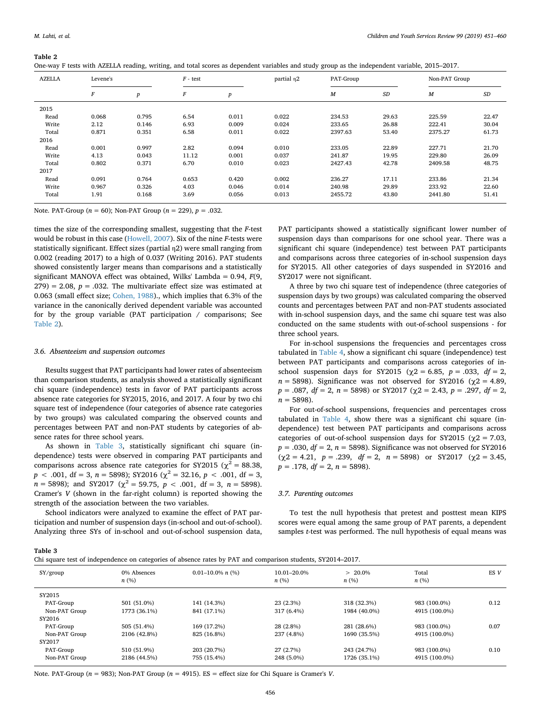#### <span id="page-5-0"></span>**Table 2**

|           |                       | One-way F tests with AZELLA reading, writing, and total scores as dependent variables and study group as the independent variable, 2015–2017. |            |                      |                   |
|-----------|-----------------------|-----------------------------------------------------------------------------------------------------------------------------------------------|------------|----------------------|-------------------|
| A 7 E I A | Lovano <sup>'</sup> c | $E$ toot                                                                                                                                      | nartial n? | $\mathbf{DAT}$ Croup | $Non-DAT$ $Gronn$ |

| <b>AZELLA</b> | Levene's |                  | $F - test$ |       | partial n <sub>2</sub> | PAT-Group        |           | Non-PAT Group    |       |
|---------------|----------|------------------|------------|-------|------------------------|------------------|-----------|------------------|-------|
|               | $\cal F$ | $\boldsymbol{p}$ | $\cal F$   | p     |                        | $\boldsymbol{M}$ | <b>SD</b> | $\boldsymbol{M}$ | SD    |
| 2015          |          |                  |            |       |                        |                  |           |                  |       |
| Read          | 0.068    | 0.795            | 6.54       | 0.011 | 0.022                  | 234.53           | 29.63     | 225.59           | 22.47 |
| Write         | 2.12     | 0.146            | 6.93       | 0.009 | 0.024                  | 233.65           | 26.88     | 222.41           | 30.04 |
| Total         | 0.871    | 0.351            | 6.58       | 0.011 | 0.022                  | 2397.63          | 53.40     | 2375.27          | 61.73 |
| 2016          |          |                  |            |       |                        |                  |           |                  |       |
| Read          | 0.001    | 0.997            | 2.82       | 0.094 | 0.010                  | 233.05           | 22.89     | 227.71           | 21.70 |
| Write         | 4.13     | 0.043            | 11.12      | 0.001 | 0.037                  | 241.87           | 19.95     | 229.80           | 26.09 |
| Total         | 0.802    | 0.371            | 6.70       | 0.010 | 0.023                  | 2427.43          | 42.78     | 2409.58          | 48.75 |
| 2017          |          |                  |            |       |                        |                  |           |                  |       |
| Read          | 0.091    | 0.764            | 0.653      | 0.420 | 0.002                  | 236.27           | 17.11     | 233.86           | 21.34 |
| Write         | 0.967    | 0.326            | 4.03       | 0.046 | 0.014                  | 240.98           | 29.89     | 233.92           | 22.60 |
| Total         | 1.91     | 0.168            | 3.69       | 0.056 | 0.013                  | 2455.72          | 43.80     | 2441.80          | 51.41 |

Note. PAT-Group (*n* = 60); Non-PAT Group (*n* = 229), *p* = .032.

times the size of the corresponding smallest, suggesting that the *F*-test would be robust in this case [\(Howell, 2007\)](#page-9-19). Six of the nine *F*-tests were statistically significant. Effect sizes (partial η2) were small ranging from 0.002 (reading 2017) to a high of 0.037 (Writing 2016). PAT students showed consistently larger means than comparisons and a statistically significant MANOVA effect was obtained, Wilks' Lambda = 0.94, *F*(9,  $279$ ) = 2.08,  $p = .032$ . The multivariate effect size was estimated at 0.063 (small effect size; [Cohen, 1988](#page-8-16))., which implies that 6.3% of the variance in the canonically derived dependent variable was accounted for by the group variable (PAT participation / comparisons; See [Table 2](#page-5-0)).

#### *3.6. Absenteeism and suspension outcomes*

Results suggest that PAT participants had lower rates of absenteeism than comparison students, as analysis showed a statistically significant chi square (independence) tests in favor of PAT participants across absence rate categories for SY2015, 2016, and 2017. A four by two chi square test of independence (four categories of absence rate categories by two groups) was calculated comparing the observed counts and percentages between PAT and non-PAT students by categories of absence rates for three school years.

As shown in [Table 3,](#page-5-1) statistically significant chi square (independence) tests were observed in comparing PAT participants and comparisons across absence rate categories for SY2015 ( $\chi^2$  = 88.38,  $p$  < .001, df = 3,  $n$  = 5898); SY2016 ( $\chi^2$  = 32.16,  $p$  < .001, df = 3,  $n = 5898$ ; and SY2017 ( $\chi^2 = 59.75$ ,  $p < .001$ , df = 3,  $n = 5898$ ). Cramer's *V* (shown in the far-right column) is reported showing the strength of the association between the two variables.

School indicators were analyzed to examine the effect of PAT participation and number of suspension days (in-school and out-of-school). Analyzing three SYs of in-school and out-of-school suspension data, PAT participants showed a statistically significant lower number of suspension days than comparisons for one school year. There was a significant chi square (independence) test between PAT participants and comparisons across three categories of in-school suspension days for SY2015. All other categories of days suspended in SY2016 and SY2017 were not significant.

A three by two chi square test of independence (three categories of suspension days by two groups) was calculated comparing the observed counts and percentages between PAT and non-PAT students associated with in-school suspension days, and the same chi square test was also conducted on the same students with out-of-school suspensions - for three school years.

For in-school suspensions the frequencies and percentages cross tabulated in [Table 4](#page-6-0), show a significant chi square (independence) test between PAT participants and comparisons across categories of inschool suspension days for SY2015 ( $\chi$ 2 = 6.85, *p* = .033, *df* = 2,  $n = 5898$ ). Significance was not observed for SY2016 ( $\chi$ 2 = 4.89, *p* = .087, *df* = 2, *n* = 5898) or SY2017 (χ2 = 2.43, *p* = .297, *df* = 2,  $n = 5898$ ).

For out-of-school suspensions, frequencies and percentages cross tabulated in [Table 4,](#page-6-0) show there was a significant chi square (independence) test between PAT participants and comparisons across categories of out-of-school suspension days for SY2015 ( $\chi$ 2 = 7.03, *p* = .030, *df* = 2, *n* = 5898). Significance was not observed for SY2016 (χ2 = 4.21, *p* = .239, *df* = 2, *n* = 5898) or SY2017 (χ2 = 3.45, *p* = .178, *df* = 2, *n* = 5898).

## *3.7. Parenting outcomes*

To test the null hypothesis that pretest and posttest mean KIPS scores were equal among the same group of PAT parents, a dependent samples *t-*test was performed. The null hypothesis of equal means was

<span id="page-5-1"></span>**Table 3**

|  |  | Chi square test of independence on categories of absence rates by PAT and comparison students, SY2014-2017. |  |
|--|--|-------------------------------------------------------------------------------------------------------------|--|
|  |  |                                                                                                             |  |

| SY/group      | 0% Absences<br>n(%) | $0.01-10.0\%$ n $(\%)$ | 10.01-20.0%<br>n(%) | $> 20.0\%$<br>n(%) | Total<br>n(%) | ES V |
|---------------|---------------------|------------------------|---------------------|--------------------|---------------|------|
| SY2015        |                     |                        |                     |                    |               |      |
| PAT-Group     | 501 (51.0%)         | 141 (14.3%)            | 23(2.3%)            | 318 (32.3%)        | 983 (100.0%)  | 0.12 |
| Non-PAT Group | 1773 (36.1%)        | 841 (17.1%)            | 317 (6.4%)          | 1984 (40.0%)       | 4915 (100.0%) |      |
| SY2016        |                     |                        |                     |                    |               |      |
| PAT-Group     | 505 (51.4%)         | 169 (17.2%)            | 28 (2.8%)           | 281 (28.6%)        | 983 (100.0%)  | 0.07 |
| Non-PAT Group | 2106 (42.8%)        | 825 (16.8%)            | 237 (4.8%)          | 1690 (35.5%)       | 4915 (100.0%) |      |
| SY2017        |                     |                        |                     |                    |               |      |
| PAT-Group     | 510 (51.9%)         | 203 (20.7%)            | 27 (2.7%)           | 243 (24.7%)        | 983 (100.0%)  | 0.10 |
| Non-PAT Group | 2186 (44.5%)        | 755 (15.4%)            | 248 (5.0%)          | 1726 (35.1%)       | 4915 (100.0%) |      |
|               |                     |                        |                     |                    |               |      |

Note. PAT-Group (*n* = 983); Non-PAT Group (*n* = 4915). ES = effect size for Chi Square is Cramer's *V*.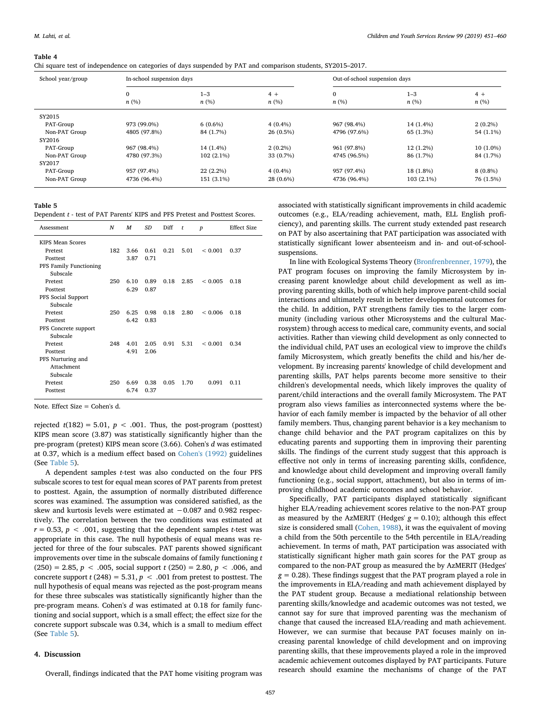#### <span id="page-6-0"></span>**Table 4**

Chi square test of independence on categories of days suspended by PAT and comparison students, SY2015–2017.

| School year/group | In-school suspension days |                 |              | Out-of-school suspension days |                 |              |  |
|-------------------|---------------------------|-----------------|--------------|-------------------------------|-----------------|--------------|--|
|                   | $\mathbf{0}$<br>n(%)      | $1 - 3$<br>n(%) | $4+$<br>n(%) | 0<br>n(%)                     | $1 - 3$<br>n(%) | $4+$<br>n(%) |  |
| SY2015            |                           |                 |              |                               |                 |              |  |
| PAT-Group         | 973 (99.0%)               | $6(0.6\%)$      | $4(0.4\%)$   | 967 (98.4%)                   | 14 (1.4%)       | $2(0.2\%)$   |  |
| Non-PAT Group     | 4805 (97.8%)              | 84 (1.7%)       | 26 (0.5%)    | 4796 (97.6%)                  | 65 (1.3%)       | 54 (1.1%)    |  |
| SY2016            |                           |                 |              |                               |                 |              |  |
| PAT-Group         | 967 (98.4%)               | 14 (1.4%)       | $2(0.2\%)$   | 961 (97.8%)                   | $12(1.2\%)$     | $10(1.0\%)$  |  |
| Non-PAT Group     | 4780 (97.3%)              | $102(2.1\%)$    | 33 (0.7%)    | 4745 (96.5%)                  | 86 (1.7%)       | 84 (1.7%)    |  |
| SY2017            |                           |                 |              |                               |                 |              |  |
| PAT-Group         | 957 (97.4%)               | $22(2.2\%)$     | $4(0.4\%)$   | 957 (97.4%)                   | 18 (1.8%)       | $8(0.8\%)$   |  |
| Non-PAT Group     | 4736 (96.4%)              | 151 (3.1%)      | 28 (0.6%)    | 4736 (96.4%)                  | $103(2.1\%)$    | 76 (1.5%)    |  |

#### <span id="page-6-1"></span>**Table 5**

Dependent *t* - test of PAT Parents' KIPS and PFS Pretest and Posttest Scores.

| Assessment             | N   | M    | <b>SD</b> | Diff | t    | $\boldsymbol{p}$ | <b>Effect Size</b> |
|------------------------|-----|------|-----------|------|------|------------------|--------------------|
| KIPS Mean Scores       |     |      |           |      |      |                  |                    |
| Pretest                | 182 | 3.66 | 0.61      | 0.21 | 5.01 | ${}_{0.001}$     | 0.37               |
| Posttest               |     | 3.87 | 0.71      |      |      |                  |                    |
| PFS Family Functioning |     |      |           |      |      |                  |                    |
| Subscale               |     |      |           |      |      |                  |                    |
| Pretest                | 250 | 6.10 | 0.89      | 0.18 | 2.85 | ${}_{0.005}$     | 0.18               |
| Posttest               |     | 6.29 | 0.87      |      |      |                  |                    |
| PFS Social Support     |     |      |           |      |      |                  |                    |
| Subscale               |     |      |           |      |      |                  |                    |
| Pretest                | 250 | 6.25 | 0.98      | 0.18 | 2.80 | < 0.006          | 0.18               |
| Posttest               |     | 6.42 | 0.83      |      |      |                  |                    |
| PFS Concrete support   |     |      |           |      |      |                  |                    |
| Subscale               |     |      |           |      |      |                  |                    |
| Pretest                | 248 | 4.01 | 2.05      | 0.91 | 5.31 | ${}_{0.001}$     | 0.34               |
| Posttest               |     | 4.91 | 2.06      |      |      |                  |                    |
| PFS Nurturing and      |     |      |           |      |      |                  |                    |
| Attachment             |     |      |           |      |      |                  |                    |
| Subscale               |     |      |           |      |      |                  |                    |
| Pretest                | 250 | 6.69 | 0.38      | 0.05 | 1.70 | 0.091            | 0.11               |
| Posttest               |     | 6.74 | 0.37      |      |      |                  |                    |
|                        |     |      |           |      |      |                  |                    |

Note. Effect Size = Cohen's d.

rejected  $t(182) = 5.01$ ,  $p < .001$ . Thus, the post-program (posttest) KIPS mean score (3.87) was statistically significantly higher than the pre-program (pretest) KIPS mean score (3.66). Cohen's *d* was estimated at 0.37, which is a medium effect based on [Cohen's \(1992\)](#page-8-18) guidelines (See [Table 5\)](#page-6-1).

A dependent samples *t-*test was also conducted on the four PFS subscale scores to test for equal mean scores of PAT parents from pretest to posttest. Again, the assumption of normally distributed difference scores was examined. The assumption was considered satisfied, as the skew and kurtosis levels were estimated at −0.087 and 0.982 respectively. The correlation between the two conditions was estimated at  $r = 0.53$ ,  $p < .001$ , suggesting that the dependent samples *t*-test was appropriate in this case. The null hypothesis of equal means was rejected for three of the four subscales. PAT parents showed significant improvements over time in the subscale domains of family functioning *t* (250) = 2.85, *p* < .005, social support *t* (250) = 2.80, *p* < .006, and concrete support  $t$  (248) = 5.31,  $p < .001$  from pretest to posttest. The null hypothesis of equal means was rejected as the post-program means for these three subscales was statistically significantly higher than the pre-program means. Cohen's *d* was estimated at 0.18 for family functioning and social support, which is a small effect; the effect size for the concrete support subscale was 0.34, which is a small to medium effect (See [Table 5\)](#page-6-1).

#### **4. Discussion**

Overall, findings indicated that the PAT home visiting program was

associated with statistically significant improvements in child academic outcomes (e.g., ELA/reading achievement, math, ELL English proficiency), and parenting skills. The current study extended past research on PAT by also ascertaining that PAT participation was associated with statistically significant lower absenteeism and in- and out-of-schoolsuspensions.

In line with Ecological Systems Theory ([Bronfrenbrenner, 1979](#page-8-19)), the PAT program focuses on improving the family Microsystem by increasing parent knowledge about child development as well as improving parenting skills, both of which help improve parent-child social interactions and ultimately result in better developmental outcomes for the child. In addition, PAT strengthens family ties to the larger community (including various other Microsystems and the cultural Macrosystem) through access to medical care, community events, and social activities. Rather than viewing child development as only connected to the individual child, PAT uses an ecological view to improve the child's family Microsystem, which greatly benefits the child and his/her development. By increasing parents' knowledge of child development and parenting skills, PAT helps parents become more sensitive to their children's developmental needs, which likely improves the quality of parent/child interactions and the overall family Microsystem. The PAT program also views families as interconnected systems where the behavior of each family member is impacted by the behavior of all other family members. Thus, changing parent behavior is a key mechanism to change child behavior and the PAT program capitalizes on this by educating parents and supporting them in improving their parenting skills. The findings of the current study suggest that this approach is effective not only in terms of increasing parenting skills, confidence, and knowledge about child development and improving overall family functioning (e.g., social support, attachment), but also in terms of improving childhood academic outcomes and school behavior.

Specifically, PAT participants displayed statistically significant higher ELA/reading achievement scores relative to the non-PAT group as measured by the AzMERIT (Hedges'  $g = 0.10$ ); although this effect size is considered small [\(Cohen, 1988\)](#page-8-16), it was the equivalent of moving a child from the 50th percentile to the 54th percentile in ELA/reading achievement. In terms of math, PAT participation was associated with statistically significant higher math gain scores for the PAT group as compared to the non-PAT group as measured the by AzMERIT (Hedges' *g* = 0.28). These findings suggest that the PAT program played a role in the improvements in ELA/reading and math achievement displayed by the PAT student group. Because a mediational relationship between parenting skills/knowledge and academic outcomes was not tested, we cannot say for sure that improved parenting was the mechanism of change that caused the increased ELA/reading and math achievement. However, we can surmise that because PAT focuses mainly on increasing parental knowledge of child development and on improving parenting skills, that these improvements played a role in the improved academic achievement outcomes displayed by PAT participants. Future research should examine the mechanisms of change of the PAT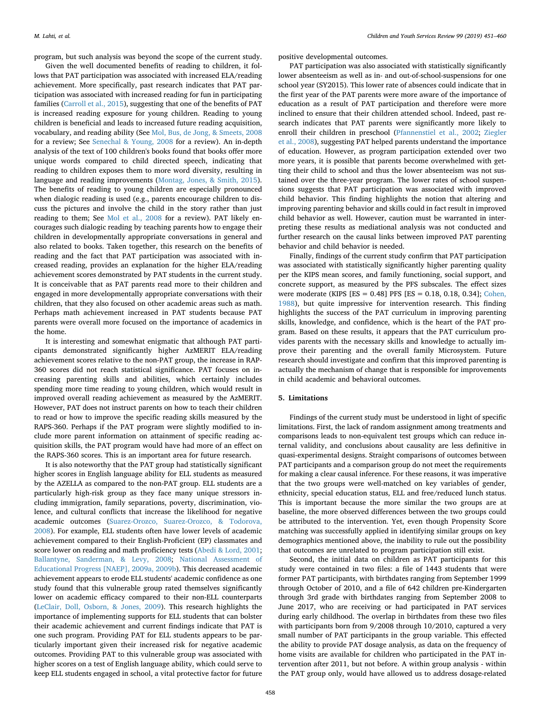program, but such analysis was beyond the scope of the current study.

Given the well documented benefits of reading to children, it follows that PAT participation was associated with increased ELA/reading achievement. More specifically, past research indicates that PAT participation was associated with increased reading for fun in participating families [\(Carroll et al., 2015](#page-8-4)), suggesting that one of the benefits of PAT is increased reading exposure for young children. Reading to young children is beneficial and leads to increased future reading acquisition, vocabulary, and reading ability (See [Mol, Bus, de Jong, & Smeets, 2008](#page-9-20) for a review; See [Senechal & Young, 2008](#page-9-21) for a review). An in-depth analysis of the text of 100 children's books found that books offer more unique words compared to child directed speech, indicating that reading to children exposes them to more word diversity, resulting in language and reading improvements [\(Montag, Jones, & Smith, 2015](#page-9-22)). The benefits of reading to young children are especially pronounced when dialogic reading is used (e.g., parents encourage children to discuss the pictures and involve the child in the story rather than just reading to them; See [Mol et al., 2008](#page-9-20) for a review). PAT likely encourages such dialogic reading by teaching parents how to engage their children in developmentally appropriate conversations in general and also related to books. Taken together, this research on the benefits of reading and the fact that PAT participation was associated with increased reading, provides an explanation for the higher ELA/reading achievement scores demonstrated by PAT students in the current study. It is conceivable that as PAT parents read more to their children and engaged in more developmentally appropriate conversations with their children, that they also focused on other academic areas such as math. Perhaps math achievement increased in PAT students because PAT parents were overall more focused on the importance of academics in the home.

It is interesting and somewhat enigmatic that although PAT participants demonstrated significantly higher AzMERIT ELA/reading achievement scores relative to the non-PAT group, the increase in RAP-360 scores did not reach statistical significance. PAT focuses on increasing parenting skills and abilities, which certainly includes spending more time reading to young children, which would result in improved overall reading achievement as measured by the AzMERIT. However, PAT does not instruct parents on how to teach their children to read or how to improve the specific reading skills measured by the RAPS-360. Perhaps if the PAT program were slightly modified to include more parent information on attainment of specific reading acquisition skills, the PAT program would have had more of an effect on the RAPS-360 scores. This is an important area for future research.

It is also noteworthy that the PAT group had statistically significant higher scores in English language ability for ELL students as measured by the AZELLA as compared to the non-PAT group. ELL students are a particularly high-risk group as they face many unique stressors including immigration, family separations, poverty, discrimination, violence, and cultural conflicts that increase the likelihood for negative academic outcomes ([Suarez-Orozco, Suarez-Orozco, & Todorova,](#page-9-23) [2008\)](#page-9-23). For example, ELL students often have lower levels of academic achievement compared to their English-Proficient (EP) classmates and score lower on reading and math proficiency tests ([Abedi & Lord, 2001](#page-8-20); [Ballantyne, Sanderman, & Levy, 2008;](#page-8-21) [National Assessment of](#page-9-24) [Educational Progress \[NAEP\], 2009a, 2009b\)](#page-9-24). This decreased academic achievement appears to erode ELL students' academic confidence as one study found that this vulnerable group rated themselves significantly lower on academic efficacy compared to their non-ELL counterparts ([LeClair, Doll, Osborn, & Jones, 2009](#page-9-25)). This research highlights the importance of implementing supports for ELL students that can bolster their academic achievement and current findings indicate that PAT is one such program. Providing PAT for ELL students appears to be particularly important given their increased risk for negative academic outcomes. Providing PAT to this vulnerable group was associated with higher scores on a test of English language ability, which could serve to keep ELL students engaged in school, a vital protective factor for future

positive developmental outcomes.

PAT participation was also associated with statistically significantly lower absenteeism as well as in- and out-of-school-suspensions for one school year (SY2015). This lower rate of absences could indicate that in the first year of the PAT parents were more aware of the importance of education as a result of PAT participation and therefore were more inclined to ensure that their children attended school. Indeed, past research indicates that PAT parents were significantly more likely to enroll their children in preschool ([Pfannenstiel et al., 2002](#page-9-10); [Ziegler](#page-9-11) [et al., 2008](#page-9-11)), suggesting PAT helped parents understand the importance of education. However, as program participation extended over two more years, it is possible that parents become overwhelmed with getting their child to school and thus the lower absenteeism was not sustained over the three-year program. The lower rates of school suspensions suggests that PAT participation was associated with improved child behavior. This finding highlights the notion that altering and improving parenting behavior and skills could in fact result in improved child behavior as well. However, caution must be warranted in interpreting these results as mediational analysis was not conducted and further research on the causal links between improved PAT parenting behavior and child behavior is needed.

Finally, findings of the current study confirm that PAT participation was associated with statistically significantly higher parenting quality per the KIPS mean scores, and family functioning, social support, and concrete support, as measured by the PFS subscales. The effect sizes were moderate (KIPS [ES = 0.48] PFS [ES = 0.18, 0.18, 0.34]; [Cohen,](#page-8-16) [1988\)](#page-8-16), but quite impressive for intervention research. This finding highlights the success of the PAT curriculum in improving parenting skills, knowledge, and confidence, which is the heart of the PAT program. Based on these results, it appears that the PAT curriculum provides parents with the necessary skills and knowledge to actually improve their parenting and the overall family Microsystem. Future research should investigate and confirm that this improved parenting is actually the mechanism of change that is responsible for improvements in child academic and behavioral outcomes.

## **5. Limitations**

Findings of the current study must be understood in light of specific limitations. First, the lack of random assignment among treatments and comparisons leads to non-equivalent test groups which can reduce internal validity, and conclusions about causality are less definitive in quasi-experimental designs. Straight comparisons of outcomes between PAT participants and a comparison group do not meet the requirements for making a clear causal inference. For these reasons, it was imperative that the two groups were well-matched on key variables of gender, ethnicity, special education status, ELL and free/reduced lunch status. This is important because the more similar the two groups are at baseline, the more observed differences between the two groups could be attributed to the intervention. Yet, even though Propensity Score matching was successfully applied in identifying similar groups on key demographics mentioned above, the inability to rule out the possibility that outcomes are unrelated to program participation still exist.

Second, the initial data on children as PAT participants for this study were contained in two files: a file of 1443 students that were former PAT participants, with birthdates ranging from September 1999 through October of 2010, and a file of 642 children pre-Kindergarten through 3rd grade with birthdates ranging from September 2008 to June 2017, who are receiving or had participated in PAT services during early childhood. The overlap in birthdates from these two files with participants born from 9/2008 through 10/2010, captured a very small number of PAT participants in the group variable. This effected the ability to provide PAT dosage analysis, as data on the frequency of home visits are available for children who participated in the PAT intervention after 2011, but not before. A within group analysis - within the PAT group only, would have allowed us to address dosage-related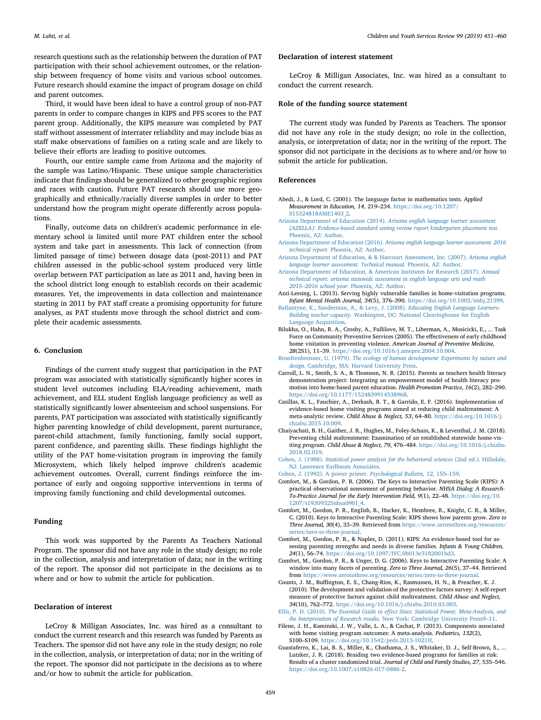research questions such as the relationship between the duration of PAT participation with their school achievement outcomes, or the relationship between frequency of home visits and various school outcomes. Future research should examine the impact of program dosage on child and parent outcomes.

Third, it would have been ideal to have a control group of non-PAT parents in order to compare changes in KIPS and PFS scores to the PAT parent group. Additionally, the KIPS measure was completed by PAT staff without assessment of interrater reliability and may include bias as staff make observations of families on a rating scale and are likely to believe their efforts are leading to positive outcomes.

Fourth, our entire sample came from Arizona and the majority of the sample was Latino/Hispanic. These unique sample characteristics indicate that findings should be generalized to other geographic regions and races with caution. Future PAT research should use more geographically and ethnically/racially diverse samples in order to better understand how the program might operate differently across populations.

Finally, outcome data on children's academic performance in elementary school is limited until more PAT children enter the school system and take part in assessments. This lack of connection (from limited passage of time) between dosage data (post-2011) and PAT children assessed in the public-school system produced very little overlap between PAT participation as late as 2011 and, having been in the school district long enough to establish records on their academic measures. Yet, the improvements in data collection and maintenance starting in 2011 by PAT staff create a promising opportunity for future analyses, as PAT students move through the school district and complete their academic assessments.

## **6. Conclusion**

Findings of the current study suggest that participation in the PAT program was associated with statistically significantly higher scores in student level outcomes including ELA/reading achievement, math achievement, and ELL student English language proficiency as well as statistically significantly lower absenteeism and school suspensions. For parents, PAT participation was associated with statistically significantly higher parenting knowledge of child development, parent nurturance, parent-child attachment, family functioning, family social support, parent confidence, and parenting skills. These findings highlight the utility of the PAT home-visitation program in improving the family Microsystem, which likely helped improve children's academic achievement outcomes. Overall, current findings reinforce the importance of early and ongoing supportive interventions in terms of improving family functioning and child developmental outcomes.

#### **Funding**

This work was supported by the Parents As Teachers National Program. The sponsor did not have any role in the study design; no role in the collection, analysis and interpretation of data; nor in the writing of the report. The sponsor did not participate in the decisions as to where and or how to submit the article for publication.

## **Declaration of interest**

LeCroy & Milligan Associates, Inc. was hired as a consultant to conduct the current research and this research was funded by Parents as Teachers. The sponsor did not have any role in the study design; no role in the collection, analysis, or interpretation of data; nor in the writing of the report. The sponsor did not participate in the decisions as to where and/or how to submit the article for publication.

#### **Declaration of interest statement**

LeCroy & Milligan Associates, Inc. was hired as a consultant to conduct the current research.

#### **Role of the funding source statement**

The current study was funded by Parents as Teachers. The sponsor did not have any role in the study design; no role in the collection, analysis, or interpretation of data; nor in the writing of the report. The sponsor did not participate in the decisions as to where and/or how to submit the article for publication.

## **References**

- <span id="page-8-20"></span>Abedi, J., & Lord, C. (2001). The language factor in mathematics tests. *Applied Measurement in Education, 14*, 219–234. [https://doi.org/10.1207/](https://doi.org/10.1207/S15324818AME1403_2) [S15324818AME1403\\_2](https://doi.org/10.1207/S15324818AME1403_2).
- <span id="page-8-9"></span>Arizona Department of Education (2014). *[Arizona english language learner assessment](http://refhub.elsevier.com/S0190-7409(18)30381-5/rf0010) [\(AZELLA\): Evidence-based standard setting review report kindergarten placement test.](http://refhub.elsevier.com/S0190-7409(18)30381-5/rf0010)* [Phoenix, AZ: Author.](http://refhub.elsevier.com/S0190-7409(18)30381-5/rf0010)
- <span id="page-8-10"></span>Arizona Department of Education (2016). *[Arizona english language learner assessment: 2016](http://refhub.elsevier.com/S0190-7409(18)30381-5/rf0015) technical report.* [Phoenix, AZ: Author](http://refhub.elsevier.com/S0190-7409(18)30381-5/rf0015).
- <span id="page-8-8"></span>[Arizona Department of Education, & & Harcourt Assessment, Inc. \(2007\).](http://refhub.elsevier.com/S0190-7409(18)30381-5/rf0020) *Arizona english [language learner assessment: Technical manual.](http://refhub.elsevier.com/S0190-7409(18)30381-5/rf0020)* Phoenix, AZ: Author.
- <span id="page-8-7"></span>[Arizona Department of Education, & American Institutes for Research \(2017\).](http://refhub.elsevier.com/S0190-7409(18)30381-5/rf0025) *Annual [technical report: arizona statewide assessment in english language arts and math](http://refhub.elsevier.com/S0190-7409(18)30381-5/rf0025) [2015–2016 school year.](http://refhub.elsevier.com/S0190-7409(18)30381-5/rf0025)* Phoenix, AZ: Author.
- <span id="page-8-3"></span>Azzi-Lessing, L. (2013). Serving highly vulnerable families in home-visitation programs. *Infant Mental Health Journal, 34*(5), 376–390. [https://doi.org/10.1002/imhj.21399.](https://doi.org/10.1002/imhj.21399)
- <span id="page-8-21"></span>[Ballantyne, K., Sanderman, A., & Levy, J. \(2008\).](http://refhub.elsevier.com/S0190-7409(18)30381-5/rf0035) *Educating English Language Learners: Building teacher capacity.* [Washington, DC: National Clearinghouse for English](http://refhub.elsevier.com/S0190-7409(18)30381-5/rf0035) [Language Acquisition.](http://refhub.elsevier.com/S0190-7409(18)30381-5/rf0035)
- <span id="page-8-0"></span>Bilukha, O., Hahn, R. A., Crosby, A., Fullilove, M. T., Liberman, A., Mosicicki, E., ... Task Force on Community Preventive Services (2005). The effectiveness of early childhood home visitation in preventing violence. *American Journal of Preventive Medicine, 28*(2S1), 11–39. <https://doi.org/10.1016/j.amepre.2004.10.004>.
- <span id="page-8-19"></span>Bronfrenbrenner, U. (1979). *[The ecology of human development: Experiments by nature and](http://refhub.elsevier.com/S0190-7409(18)30381-5/rf0045) design.* [Cambridge, MA: Harvard University Press](http://refhub.elsevier.com/S0190-7409(18)30381-5/rf0045).
- <span id="page-8-4"></span>Carroll, L. N., Smith, S. A., & Thomson, N. R. (2015). Parents as teachers health literacy demonstration project: Integrating an empowerment model of health literacy promotion into home-based parent education. *Health Promotion Practice, 16*(2), 282–290. [https://doi.org/10.1177/1524839914538968.](https://doi.org/10.1177/1524839914538968)
- <span id="page-8-1"></span>Casillas, K. L., Fauchier, A., Derkash, B. T., & Garrido, E. F. (2016). Implementation of evidence-based home visiting programs aimed at reducing child maltreatment: A meta-analytic review. *Child Abuse & Neglect, 53*, 64–80. [https://doi.org/10.1016/j.](https://doi.org/10.1016/j.chiabu.2015.10.009) [chiabu.2015.10.009](https://doi.org/10.1016/j.chiabu.2015.10.009).
- <span id="page-8-5"></span>Chaiyachati, B. H., Gaither, J. R., Hughes, M., Foley-Schain, K., & Leventhal, J. M. (2018). Preventing child maltreatment: Examination of an established statewide home-visiting program. *Child Abuse & Neglect, 79*, 476–484. [https://doi.org/10.1016/j.chiabu.](https://doi.org/10.1016/j.chiabu.2018.02.019) [2018.02.019](https://doi.org/10.1016/j.chiabu.2018.02.019).
- <span id="page-8-16"></span>Cohen, J. (1988). *[Statistical power analysis for the behavioral sciences](http://refhub.elsevier.com/S0190-7409(18)30381-5/rf0070)* (2nd ed.). Hillsdale, [NJ: Lawrence Earlbaum Associates](http://refhub.elsevier.com/S0190-7409(18)30381-5/rf0070).

<span id="page-8-18"></span>[Cohen, J. \(1992\). A power primer.](http://refhub.elsevier.com/S0190-7409(18)30381-5/rf0075) *Psychological Bulletin, 12*, 155–159.

- <span id="page-8-12"></span>Comfort, M., & Gordon, P. R. (2006). The Keys to Interactive Parenting Scale (KIPS): A practical observational assessment of parenting behavior. *NHSA Dialog: A Research-To-Practice Journal for the Early Intervention Field, 9*(1), 22–48. [https://doi.org/10.](https://doi.org/10.1207/s19309325nhsa0901_4) [1207/s19309325nhsa0901\\_4](https://doi.org/10.1207/s19309325nhsa0901_4).
- <span id="page-8-11"></span>Comfort, M., Gordon, P. R., English, B., Hacker, K., Hembree, R., Knight, C. R., & Miller, C. (2010). Keys to Interactive Parenting Scale: KIPS shows how parents grow. *Zero to Three Journal, 30*(4), 33–39. Retrieved from [https://www.zerotothree.org/resources/](https://www.zerotothree.org/resources/series/zero-to-three-journal) [series/zero-to-three-journal.](https://www.zerotothree.org/resources/series/zero-to-three-journal)
- <span id="page-8-13"></span>Comfort, M., Gordon, P. R., & Naples, D. (2011). KIPS: An evidence-based tool for assessing parenting strengths and needs in diverse families. *Infants & Young Children, 24*(1), 56–74. [https://doi.org/10.1097/IYC.0b013e3182001bd3.](https://doi.org/10.1097/IYC.0b013e3182001bd3)
- <span id="page-8-14"></span>Comfort, M., Gordon, P. R., & Unger, D. G. (2006). Keys to Interactive Parenting Scale: A window into many facets of parenting. *Zero to Three Journal, 26*(5), 37–44. Retrieved from <https://www.zerotothree.org/resources/series/zero-to-three-journal>.
- <span id="page-8-15"></span>Counts, J. M., Buffington, E. S., Chang-Rios, K., Rasmussen, H. N., & Preacher, K. J. (2010). The development and validation of the protective factors survey: A self-report measure of protective factors against child maltreatment. *Child Abuse and Neglect, 34*(10), 762–772. <https://doi.org/10.1016/j.chiabu.2010.03.003>.
- <span id="page-8-17"></span>Ellis, P. D. (2010). *[The Essential Guide to effect Sizes: Statistical Power, Meta-Analysis, and](http://refhub.elsevier.com/S0190-7409(18)30381-5/rf0105) the Interpretation of Research results.* [New York: Cambridge University Press9–11.](http://refhub.elsevier.com/S0190-7409(18)30381-5/rf0105)
- <span id="page-8-2"></span>Filene, J. H., Kaminski, J. W., Valle, L. A., & Cachat, P. (2013). Components associated with home visiting program outcomes: A meta-analysis. *Pediatrics, 132*(2), S100–S109. [https://doi.org/10.1542/peds.2013-1021H.](https://doi.org/10.1542/peds.2013-1021H)
- <span id="page-8-6"></span>Guastaferro, K., Lai, B. S., Miller, K., Chathama, J. S., Whitaker, D. J., Self-Brown, S., ... Lutzker, J. R. (2018). Braiding two evidence-based programs for families at risk: Results of a cluster randomized trial. *Journal of Child and Family Studies, 27*, 535–546. [https://doi.org/10.1007/s10826-017-0886-2.](https://doi.org/10.1007/s10826-017-0886-2)